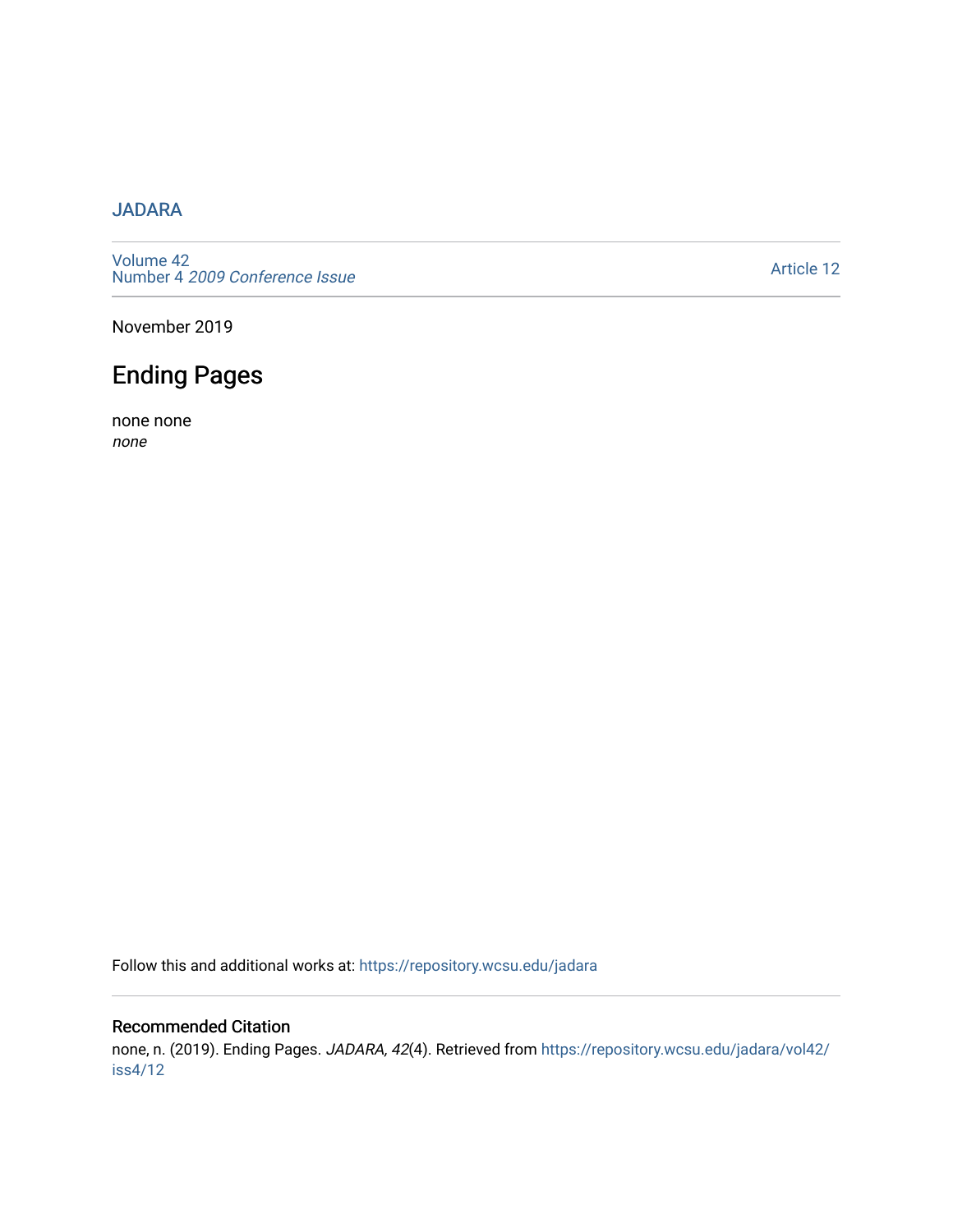### [JADARA](https://repository.wcsu.edu/jadara)

[Volume 42](https://repository.wcsu.edu/jadara/vol42)  Number 4 [2009 Conference Issue](https://repository.wcsu.edu/jadara/vol42/iss4) 

[Article 12](https://repository.wcsu.edu/jadara/vol42/iss4/12) 

November 2019

## Ending Pages

none none none

Follow this and additional works at: [https://repository.wcsu.edu/jadara](https://repository.wcsu.edu/jadara?utm_source=repository.wcsu.edu%2Fjadara%2Fvol42%2Fiss4%2F12&utm_medium=PDF&utm_campaign=PDFCoverPages)

#### Recommended Citation

none, n. (2019). Ending Pages. JADARA, 42(4). Retrieved from [https://repository.wcsu.edu/jadara/vol42/](https://repository.wcsu.edu/jadara/vol42/iss4/12?utm_source=repository.wcsu.edu%2Fjadara%2Fvol42%2Fiss4%2F12&utm_medium=PDF&utm_campaign=PDFCoverPages) [iss4/12](https://repository.wcsu.edu/jadara/vol42/iss4/12?utm_source=repository.wcsu.edu%2Fjadara%2Fvol42%2Fiss4%2F12&utm_medium=PDF&utm_campaign=PDFCoverPages)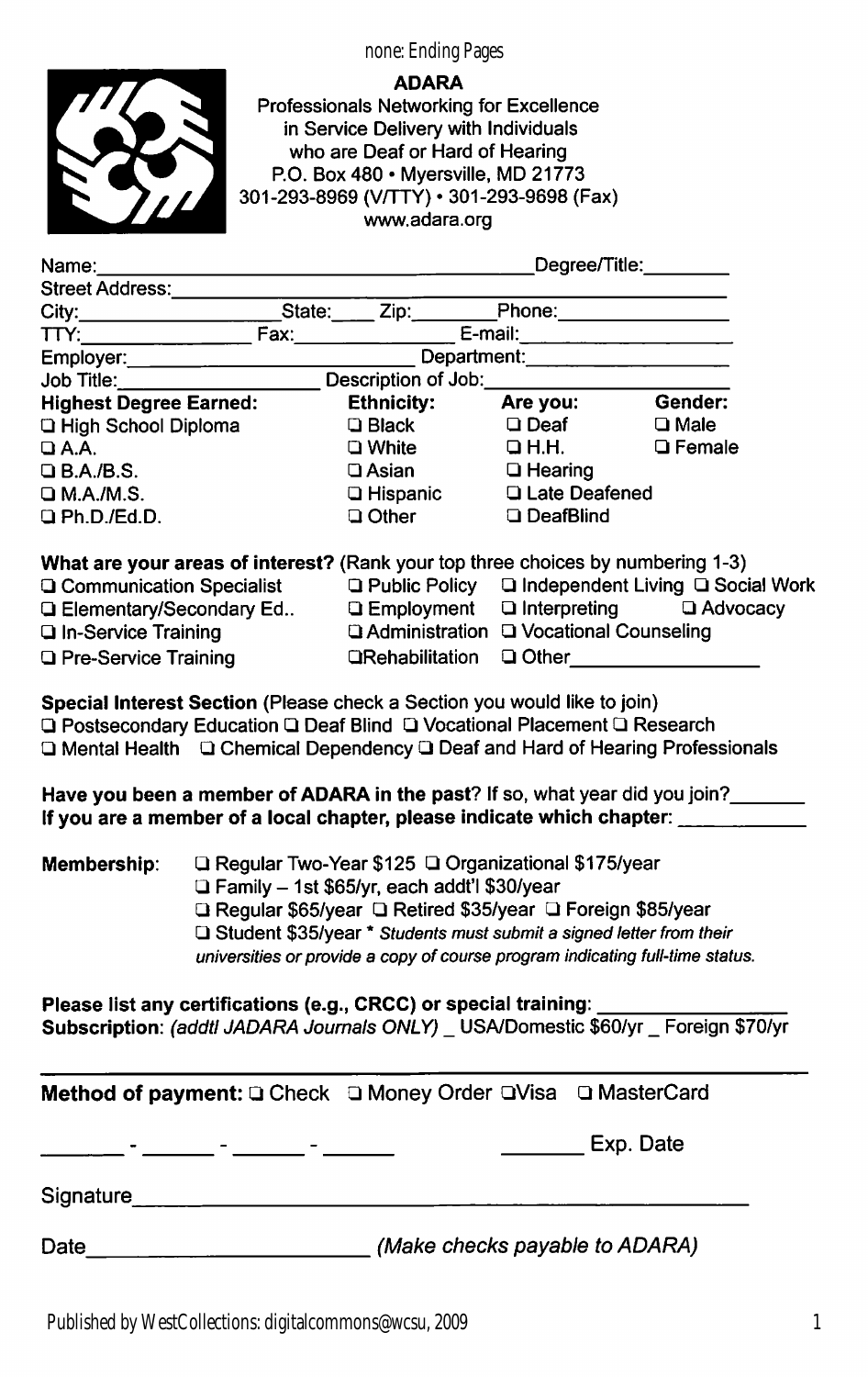1

none: Ending Pages

#### ADARA

Professionals Networking for Excellence in Service Delivery with Individuals who are Deaf or Hard of Hearing P.O. Box 480 • Myersville, MD 21773 301-293-8969 (VHTY) • 301-293-9898 (Fax) www.adara.org

| Name: <b>Name</b>                                                                                                                                                                                                                                                                                                                                                                                        |                                                                                                                                                                                                                                                                                                                              |                                                                                                                                                                                                                                      | Degree/Title:________  |                           |
|----------------------------------------------------------------------------------------------------------------------------------------------------------------------------------------------------------------------------------------------------------------------------------------------------------------------------------------------------------------------------------------------------------|------------------------------------------------------------------------------------------------------------------------------------------------------------------------------------------------------------------------------------------------------------------------------------------------------------------------------|--------------------------------------------------------------------------------------------------------------------------------------------------------------------------------------------------------------------------------------|------------------------|---------------------------|
| <b>Street Address:</b>                                                                                                                                                                                                                                                                                                                                                                                   |                                                                                                                                                                                                                                                                                                                              |                                                                                                                                                                                                                                      |                        |                           |
|                                                                                                                                                                                                                                                                                                                                                                                                          |                                                                                                                                                                                                                                                                                                                              |                                                                                                                                                                                                                                      |                        |                           |
| TTY:                                                                                                                                                                                                                                                                                                                                                                                                     |                                                                                                                                                                                                                                                                                                                              | <u> E-mail: E-mail: E-mail: E-mail: E-mail: E-mail: E-mail: E-mail: E-mail: E-mail: E-mail: E-mail: E-mail: E-mail: E-mail: E-mail: E-mail: E-mail: E-mail: E-mail: E-mail: E-mail: E-mail: E-mail: E-mail: E-mail: E-mail: E-ma</u> |                        |                           |
|                                                                                                                                                                                                                                                                                                                                                                                                          | Employer: ________________________                                                                                                                                                                                                                                                                                           | Department: Department:                                                                                                                                                                                                              |                        |                           |
| Job Title:                                                                                                                                                                                                                                                                                                                                                                                               |                                                                                                                                                                                                                                                                                                                              | Description of Job: 2000                                                                                                                                                                                                             |                        |                           |
| <b>Highest Degree Earned:</b>                                                                                                                                                                                                                                                                                                                                                                            |                                                                                                                                                                                                                                                                                                                              | <b>Ethnicity:</b>                                                                                                                                                                                                                    | Are you:               | Gender:                   |
| <b>Q High School Diploma</b>                                                                                                                                                                                                                                                                                                                                                                             |                                                                                                                                                                                                                                                                                                                              | <b>Q</b> Black                                                                                                                                                                                                                       | $\Box$ Deaf            | $\Box$ Male               |
| $\Box$ A.A.                                                                                                                                                                                                                                                                                                                                                                                              |                                                                                                                                                                                                                                                                                                                              | $\square$ White                                                                                                                                                                                                                      | $\Box$ H.H.            | □ Female                  |
| $Q$ B.A./B.S.                                                                                                                                                                                                                                                                                                                                                                                            |                                                                                                                                                                                                                                                                                                                              | □ Asian                                                                                                                                                                                                                              | <b>Q</b> Hearing       |                           |
| $\square$ M.A./M.S.                                                                                                                                                                                                                                                                                                                                                                                      |                                                                                                                                                                                                                                                                                                                              | <b>Q</b> Hispanic<br>Q Other                                                                                                                                                                                                         | <b>Q Late Deafened</b> |                           |
| $Q$ Ph.D./Ed.D.                                                                                                                                                                                                                                                                                                                                                                                          |                                                                                                                                                                                                                                                                                                                              |                                                                                                                                                                                                                                      | <b>Q</b> DeafBlind     |                           |
| What are your areas of interest? (Rank your top three choices by numbering 1-3)                                                                                                                                                                                                                                                                                                                          |                                                                                                                                                                                                                                                                                                                              |                                                                                                                                                                                                                                      |                        |                           |
| <b>Q Communication Specialist</b> Q Public Policy Q Independent Living Q Social Work                                                                                                                                                                                                                                                                                                                     |                                                                                                                                                                                                                                                                                                                              |                                                                                                                                                                                                                                      |                        |                           |
| <b>Q Elementary/Secondary Ed Q Employment</b>                                                                                                                                                                                                                                                                                                                                                            |                                                                                                                                                                                                                                                                                                                              |                                                                                                                                                                                                                                      |                        | □ Interpreting □ Advocacy |
| <b>Q In-Service Training</b>                                                                                                                                                                                                                                                                                                                                                                             |                                                                                                                                                                                                                                                                                                                              | □ Administration □ Vocational Counseling                                                                                                                                                                                             |                        |                           |
| <b>Q</b> Pre-Service Training                                                                                                                                                                                                                                                                                                                                                                            |                                                                                                                                                                                                                                                                                                                              | <b>QRehabilitation Q Other</b> 2011 2012 2022                                                                                                                                                                                        |                        |                           |
| Special Interest Section (Please check a Section you would like to join)<br>Q Postsecondary Education Q Deaf Blind Q Vocational Placement Q Research<br>□ Mental Health □ Chemical Dependency □ Deaf and Hard of Hearing Professionals<br>Have you been a member of ADARA in the past? If so, what year did you join?<br>If you are a member of a local chapter, please indicate which chapter: ________ |                                                                                                                                                                                                                                                                                                                              |                                                                                                                                                                                                                                      |                        |                           |
| Membership:                                                                                                                                                                                                                                                                                                                                                                                              | □ Regular Two-Year \$125 □ Organizational \$175/year<br>□ Family - 1st \$65/yr, each addt'l \$30/year<br>Regular \$65/year Q Retired \$35/year Q Foreign \$85/year<br>□ Student \$35/year * Students must submit a signed letter from their<br>universities or provide a copy of course program indicating full-time status. |                                                                                                                                                                                                                                      |                        |                           |
| Please list any certifications (e.g., CRCC) or special training:<br>Subscription: (addtl JADARA Journals ONLY) _ USA/Domestic \$60/yr _ Foreign \$70/yr                                                                                                                                                                                                                                                  |                                                                                                                                                                                                                                                                                                                              |                                                                                                                                                                                                                                      |                        |                           |
| Method of payment: Q Check Q Money Order QVisa Q MasterCard                                                                                                                                                                                                                                                                                                                                              |                                                                                                                                                                                                                                                                                                                              |                                                                                                                                                                                                                                      |                        |                           |
|                                                                                                                                                                                                                                                                                                                                                                                                          | <u> 1988 - Jan Bernard Bernard, mensenal ble større og større og som ble større og som ble større og som ble stør</u>                                                                                                                                                                                                        |                                                                                                                                                                                                                                      | Exp. Date              |                           |
| Signature <b>Signature Signature Signature Signature Signature Signature Signature Signature Signature Signature Signature Signature Signature Signature Signature Signature Signature Signatu</b>                                                                                                                                                                                                       |                                                                                                                                                                                                                                                                                                                              |                                                                                                                                                                                                                                      |                        |                           |
| Date                                                                                                                                                                                                                                                                                                                                                                                                     |                                                                                                                                                                                                                                                                                                                              | (Make checks payable to ADARA)                                                                                                                                                                                                       |                        |                           |